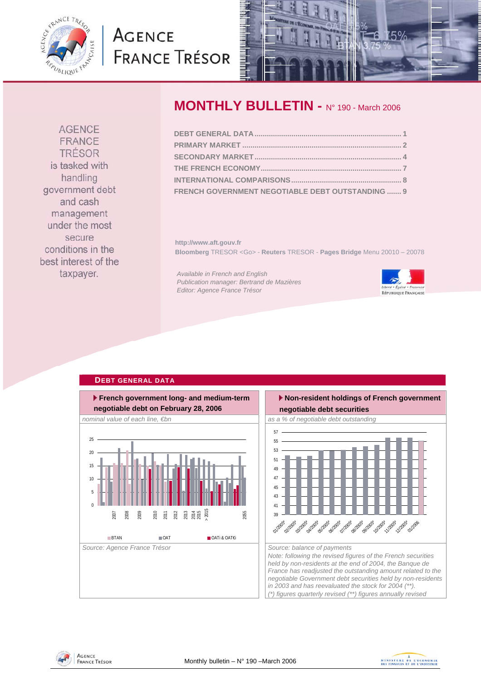<span id="page-0-0"></span>

# **AGENCE FRANCE TRÉSOR**



## **MONTHLY BULLETIN -** N° 190 - March 2006

| FRENCH GOVERNMENT NEGOTIABLE DEBT OUTSTANDING  9 |  |
|--------------------------------------------------|--|

**http://www.aft.gouv.fr Bloomberg** TRESOR <Go> - **Reuters** TRESOR - **Pages Bridge** Menu 20010 – 20078

*Available in French and English Publication manager: Bertrand de Mazières Editor: Agence France Trésor* 



### **French government long- and medium-term negotiable debt on February 28, 2006** *nominal value of each line, €bn* as a % of negotiable debt outstanding as a % of negotiable debt outstanding Source: Agence France Trésor **Source: balance of payments** Source: balance of payments  $\theta$ 5 10 15  $20$ 25 2007 2008 2009 2010 2011 2012 2013 2014 2015 > 2015 2055 BTAN OAT OATi & OAT€i

**DEBT GENERAL DATA**



**AGENCE** FRANCE TRÉSOR is tasked with handling government debt and cash management under the most secure conditions in the best interest of the taxpayer.



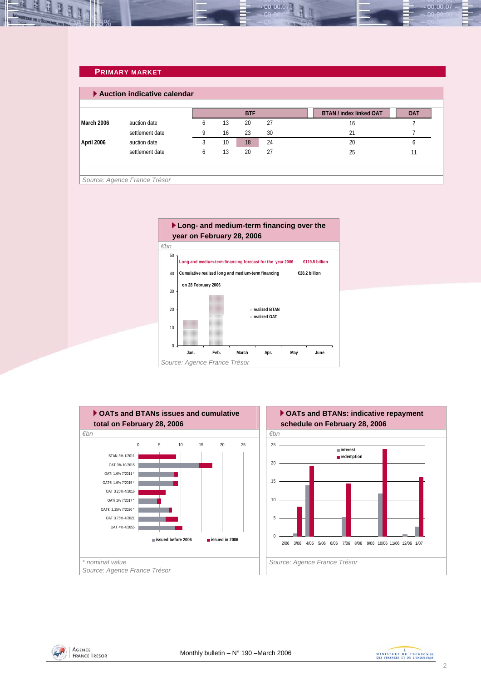### <span id="page-1-0"></span>**PRIMARY MARKET**

|            |                 |              |    | <b>BTF</b> |    | <b>BTAN / index linked OAT</b> | <b>OAT</b> |
|------------|-----------------|--------------|----|------------|----|--------------------------------|------------|
| March 2006 | auction date    | <sub>b</sub> | 13 | 20         | 27 | 16                             |            |
|            | settlement date | Q            | 16 | 23         | 30 | 21                             |            |
| April 2006 | auction date    |              | 10 | 18         | 24 | 20                             |            |
|            | settlement date | 6            | 13 | 20         | 27 | 25                             |            |







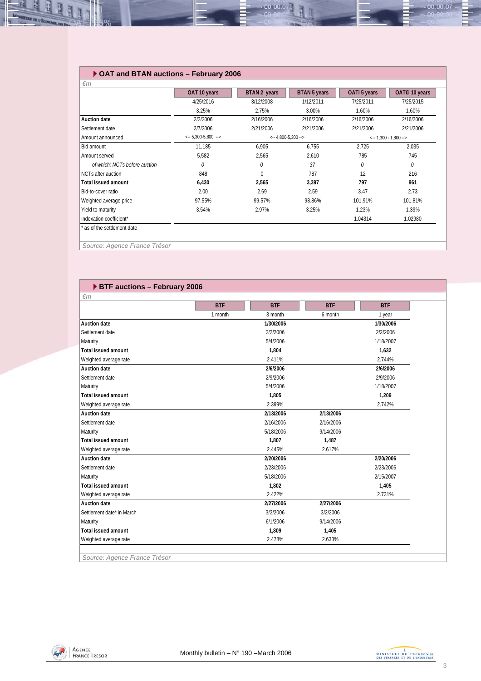### **OAT and BTAN auctions – February 2006**

|                               | OAT 10 years                           | BTAN 2 years                 | BTAN 5 years | OATi 5 years                   | OAT€i 10 years |
|-------------------------------|----------------------------------------|------------------------------|--------------|--------------------------------|----------------|
|                               | 4/25/2016                              | 3/12/2008                    | 1/12/2011    | 7/25/2011                      | 7/25/2015      |
|                               | 3.25%                                  | 2.75%                        | 3.00%        | 1.60%                          | 1.60%          |
| <b>Auction date</b>           | 2/2/2006                               | 2/16/2006                    | 2/16/2006    | 2/16/2006                      | 2/16/2006      |
| Settlement date               | 2/7/2006                               | 2/21/2006                    | 2/21/2006    | 2/21/2006                      | 2/21/2006      |
| Amount announced              | $\leftarrow$ 5,300-5,800 $\rightarrow$ | $\leftarrow$ 4,800-5,300 --> |              | $\leftarrow$ 1,300 - 1,800 --> |                |
| Bid amount                    | 11,185                                 | 6,905                        | 6.755        | 2.725                          | 2,035          |
| Amount served                 | 5,582                                  | 2,565                        | 2,610        | 785                            | 745            |
| of which: NCTs before auction | 0                                      | 0                            | 37           | 0                              | 0              |
| NCTs after auction            | 848                                    | $\Omega$                     | 787          | 12                             | 216            |
| <b>Total issued amount</b>    | 6,430                                  | 2,565                        | 3,397        | 797                            | 961            |
| Bid-to-cover ratio            | 2.00                                   | 2.69                         | 2.59         | 3.47                           | 2.73           |
| Weighted average price        | 97.55%                                 | 99.57%                       | 98.86%       | 101.91%                        | 101.81%        |
| Yield to maturity             | 3.54%                                  | 2.97%                        | 3.25%        | 1.23%                          | 1.39%          |
| Indexation coefficient*       | $\overline{\phantom{0}}$               | ٠                            |              | 1.04314                        | 1.02980        |

00.00.0

*Source: Agence France Trésor* 

可可

### **BTF auctions – February 2006**

| $\epsilon$ m               |                       |            |            |            |  |  |  |
|----------------------------|-----------------------|------------|------------|------------|--|--|--|
|                            | <b>BTF</b>            | <b>BTF</b> | <b>BTF</b> | <b>BTF</b> |  |  |  |
|                            | 1 month               | 3 month    | 6 month    | 1 year     |  |  |  |
| <b>Auction date</b>        |                       | 1/30/2006  |            | 1/30/2006  |  |  |  |
| Settlement date            |                       | 2/2/2006   |            | 2/2/2006   |  |  |  |
| Maturity                   |                       | 5/4/2006   |            | 1/18/2007  |  |  |  |
| <b>Total issued amount</b> |                       | 1.804      |            | 1,632      |  |  |  |
| Weighted average rate      |                       | 2.411%     |            | 2.744%     |  |  |  |
| <b>Auction date</b>        |                       | 2/6/2006   |            | 2/6/2006   |  |  |  |
| Settlement date            |                       | 2/9/2006   |            | 2/9/2006   |  |  |  |
| Maturity                   | 5/4/2006<br>1/18/2007 |            |            |            |  |  |  |
| <b>Total issued amount</b> | 1,805<br>1,209        |            |            |            |  |  |  |
| Weighted average rate      |                       | 2.399%     |            | 2.742%     |  |  |  |
| <b>Auction date</b>        |                       | 2/13/2006  | 2/13/2006  |            |  |  |  |
| Settlement date            |                       | 2/16/2006  | 2/16/2006  |            |  |  |  |
| Maturity                   |                       | 5/18/2006  | 9/14/2006  |            |  |  |  |
| Total issued amount        |                       | 1.807      | 1,487      |            |  |  |  |
| Weighted average rate      |                       | 2.445%     | 2.617%     |            |  |  |  |
| <b>Auction date</b>        |                       | 2/20/2006  |            | 2/20/2006  |  |  |  |
| Settlement date            |                       | 2/23/2006  |            | 2/23/2006  |  |  |  |
| Maturity                   |                       | 5/18/2006  |            | 2/15/2007  |  |  |  |
| <b>Total issued amount</b> |                       | 1,802      |            | 1,405      |  |  |  |
| Weighted average rate      |                       | 2.422%     |            | 2.731%     |  |  |  |
| <b>Auction date</b>        |                       | 2/27/2006  | 2/27/2006  |            |  |  |  |
| Settlement date* in March  |                       | 3/2/2006   | 3/2/2006   |            |  |  |  |
| Maturity                   |                       | 6/1/2006   | 9/14/2006  |            |  |  |  |
| <b>Total issued amount</b> |                       | 1,809      | 1,405      |            |  |  |  |
| Weighted average rate      |                       | 2.478%     | 2.633%     |            |  |  |  |

*Source: Agence France Trésor* 



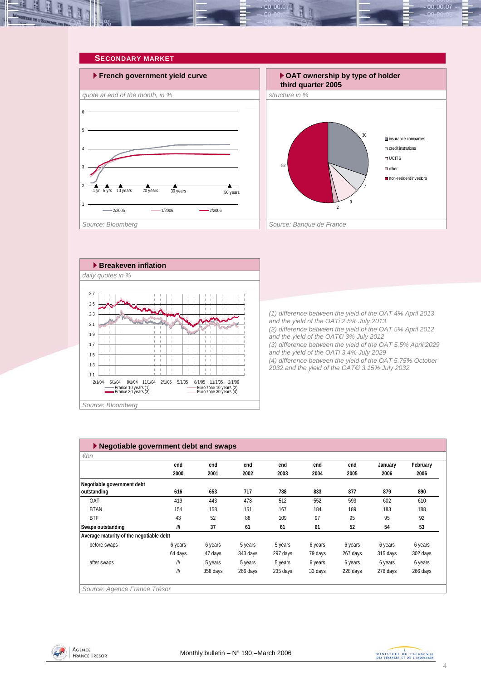<span id="page-3-0"></span>



| Source: Bloomberg |  |
|-------------------|--|
|-------------------|--|

| $\blacktriangleright$ Negotiable government debt and swaps |         |          |          |          |         |          |          |          |  |
|------------------------------------------------------------|---------|----------|----------|----------|---------|----------|----------|----------|--|
| $\varepsilon$ bn                                           |         |          |          |          |         |          |          |          |  |
|                                                            | end     | end      | end      | end      | end     | end      | January  | February |  |
|                                                            | 2000    | 2001     | 2002     | 2003     | 2004    | 2005     | 2006     | 2006     |  |
| Negotiable government debt                                 |         |          |          |          |         |          |          |          |  |
| outstanding                                                | 616     | 653      | 717      | 788      | 833     | 877      | 879      | 890      |  |
| OAT                                                        | 419     | 443      | 478      | 512      | 552     | 593      | 602      | 610      |  |
| <b>BTAN</b>                                                | 154     | 158      | 151      | 167      | 184     | 189      | 183      | 188      |  |
| <b>BTF</b>                                                 | 43      | 52       | 88       | 109      | 97      | 95       | 95       | 92       |  |
| Swaps outstanding                                          | III     | 37       | 61       | 61       | 61      | 52       | 54       | 53       |  |
| Average maturity of the negotiable debt                    |         |          |          |          |         |          |          |          |  |
| before swaps                                               | 6 years | 6 years  | 5 years  | 5 years  | 6 years | 6 years  | 6 years  | 6 years  |  |
|                                                            | 64 days | 47 days  | 343 days | 297 days | 79 days | 267 days | 315 days | 302 days |  |
| after swaps                                                | ///     | 5 years  | 5 years  | 5 years  | 6 years | 6 years  | 6 years  | 6 years  |  |
|                                                            | III     | 358 days | 266 days | 235 days | 33 days | 228 days | 278 days | 266 days |  |
| Source: Agence France Trésor                               |         |          |          |          |         |          |          |          |  |



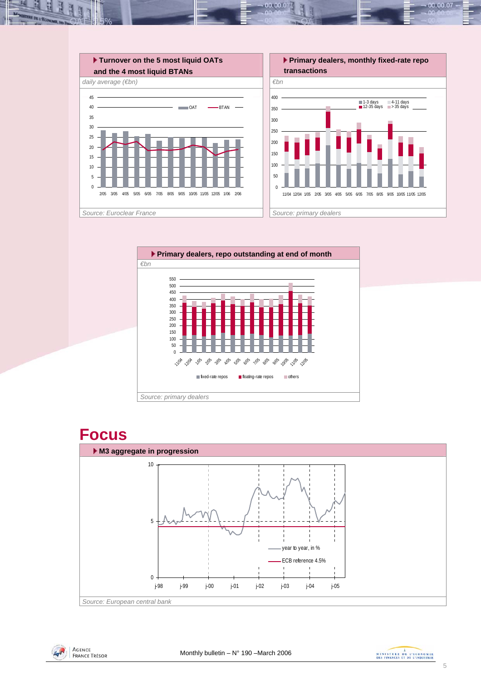

10.00.0







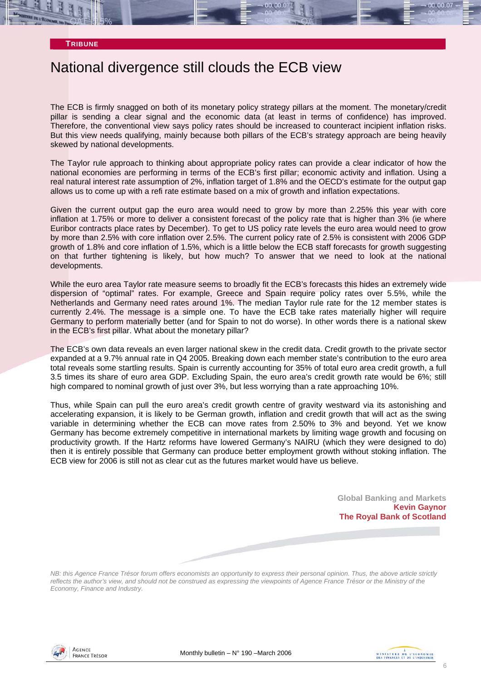

### National divergence still clouds the ECB view

The ECB is firmly snagged on both of its monetary policy strategy pillars at the moment. The monetary/credit pillar is sending a clear signal and the economic data (at least in terms of confidence) has improved. Therefore, the conventional view says policy rates should be increased to counteract incipient inflation risks. But this view needs qualifying, mainly because both pillars of the ECB's strategy approach are being heavily skewed by national developments.

The Taylor rule approach to thinking about appropriate policy rates can provide a clear indicator of how the national economies are performing in terms of the ECB's first pillar; economic activity and inflation. Using a real natural interest rate assumption of 2%, inflation target of 1.8% and the OECD's estimate for the output gap allows us to come up with a refi rate estimate based on a mix of growth and inflation expectations.

Given the current output gap the euro area would need to grow by more than 2.25% this year with core inflation at 1.75% or more to deliver a consistent forecast of the policy rate that is higher than 3% (ie where Euribor contracts place rates by December). To get to US policy rate levels the euro area would need to grow by more than 2.5% with core inflation over 2.5%. The current policy rate of 2.5% is consistent with 2006 GDP growth of 1.8% and core inflation of 1.5%, which is a little below the ECB staff forecasts for growth suggesting on that further tightening is likely, but how much? To answer that we need to look at the national developments.

While the euro area Taylor rate measure seems to broadly fit the ECB's forecasts this hides an extremely wide dispersion of "optimal" rates. For example, Greece and Spain require policy rates over 5.5%, while the Netherlands and Germany need rates around 1%. The median Taylor rule rate for the 12 member states is currently 2.4%. The message is a simple one. To have the ECB take rates materially higher will require Germany to perform materially better (and for Spain to not do worse). In other words there is a national skew in the ECB's first pillar. What about the monetary pillar?

The ECB's own data reveals an even larger national skew in the credit data. Credit growth to the private sector expanded at a 9.7% annual rate in Q4 2005. Breaking down each member state's contribution to the euro area total reveals some startling results. Spain is currently accounting for 35% of total euro area credit growth, a full 3.5 times its share of euro area GDP. Excluding Spain, the euro area's credit growth rate would be 6%; still high compared to nominal growth of just over 3%, but less worrying than a rate approaching 10%.

Thus, while Spain can pull the euro area's credit growth centre of gravity westward via its astonishing and accelerating expansion, it is likely to be German growth, inflation and credit growth that will act as the swing variable in determining whether the ECB can move rates from 2.50% to 3% and beyond. Yet we know Germany has become extremely competitive in international markets by limiting wage growth and focusing on productivity growth. If the Hartz reforms have lowered Germany's NAIRU (which they were designed to do) then it is entirely possible that Germany can produce better employment growth without stoking inflation. The ECB view for 2006 is still not as clear cut as the futures market would have us believe.

> **Global Banking and Markets Kevin Gaynor The Royal Bank of Scotland**

*NB: this Agence France Trésor forum offers economists an opportunity to express their personal opinion. Thus, the above article strictly reflects the author's view, and should not be construed as expressing the viewpoints of Agence France Trésor or the Ministry of the Economy, Finance and Industry.* 



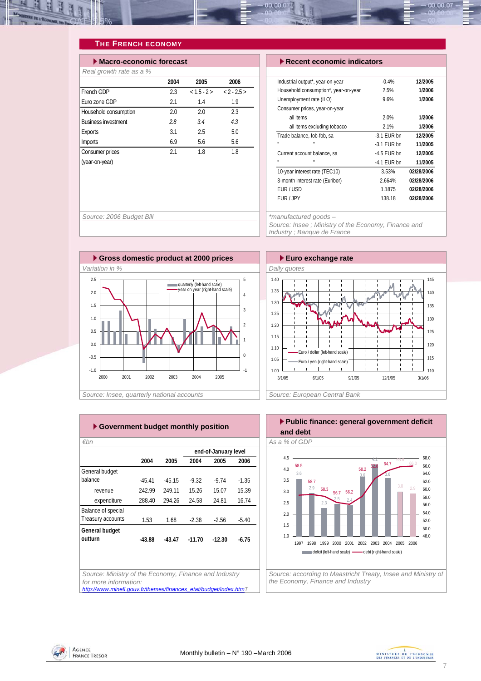<span id="page-6-0"></span>

### **THE FRENCH ECONOMY**

| Macro-economic forecast    |      |                    |      |  |  |  |  |
|----------------------------|------|--------------------|------|--|--|--|--|
| Real growth rate as a %    |      |                    |      |  |  |  |  |
|                            | 2004 | 2005               | 2006 |  |  |  |  |
| French GDP                 | 23   | $<1.5 - 2 > 2.5 >$ |      |  |  |  |  |
| Euro zone GDP              | 2.1  | 1.4                | 1.9  |  |  |  |  |
| Household consumption      | 2.0  | 20                 | 2.3  |  |  |  |  |
| <b>Business investment</b> | 28   | 34                 | 43   |  |  |  |  |
| <b>Exports</b>             | 3.1  | 2.5                | 5.0  |  |  |  |  |
| <b>Imports</b>             | 6.9  | 5.6                | 5.6  |  |  |  |  |
| Consumer prices            | 21   | 18                 | 18   |  |  |  |  |
| (year-on-year)             |      |                    |      |  |  |  |  |
|                            |      |                    |      |  |  |  |  |

### **Execut economic indicators**

| Industrial output*, year-on-year     | $-0.4%$       | 12/2005    |
|--------------------------------------|---------------|------------|
| Household consumption*, year-on-year | 2.5%          | 1/2006     |
| Unemployment rate (ILO)              | 9.6%          | 1/2006     |
| Consumer prices, year-on-year        |               |            |
| all items                            | 2.0%          | 1/2006     |
| all items excluding tobacco          | 2.1%          | 1/2006     |
| Trade balance, fob-fob, sa           | $-3.1$ EUR bn | 12/2005    |
| ш<br>ш                               | $-3.1$ FUR bn | 11/2005    |
| Current account balance, sa          | $-4.5$ FUR bn | 12/2005    |
| ш<br>ш                               | $-4.1$ FUR bn | 11/2005    |
| 10-year interest rate (TEC10)        | 3.53%         | 02/28/2006 |
| 3-month interest rate (Euribor)      | 2.664%        | 02/28/2006 |
| FUR / USD                            | 1.1875        | 02/28/2006 |
| FUR / JPY                            | 138.18        | 02/28/2006 |
|                                      |               |            |

*Source: 2006 Budget Bill \*manufactured goods –* 

*Source: Insee ; Ministry of the Economy, Finance and Industry ; Banque de France* 





|                    |          |          |          | end-of-January level |         |
|--------------------|----------|----------|----------|----------------------|---------|
|                    | 2004     | 2005     | 2004     | 2005                 | 2006    |
| General budget     |          |          |          |                      |         |
| balance            | $-45.41$ | $-45.15$ | $-9.32$  | $-9.74$              | $-1.35$ |
| revenue            | 242.99   | 249.11   | 15.26    | 15.07                | 15.39   |
| expenditure        | 288.40   | 294.26   | 24.58    | 24.81                | 16.74   |
| Balance of special |          |          |          |                      |         |
| Treasury accounts  | 1.53     | 1.68     | $-2.38$  | $-2.56$              | $-5.40$ |
| General budget     |          |          |          |                      |         |
| outturn            | $-43.88$ | $-43.47$ | $-11.70$ | $-12.30$             | $-6.75$ |
|                    |          |          |          |                      |         |

*for more information:* 

*[http://www.minefi.gouv.fr/themes/finances\\_etat/budget/index.htmT](http://www.minefi.gouv.fr/themes/finances_etat/budget/index.htm)*



1997 1998 1999 2000 2001 2002 2003 2004 2005 2006 deficit (left-hand scale) - debt (right-hand scale)

*Source: according to Maastricht Treaty, Insee and Ministry of the Economy, Finance and Industry* 



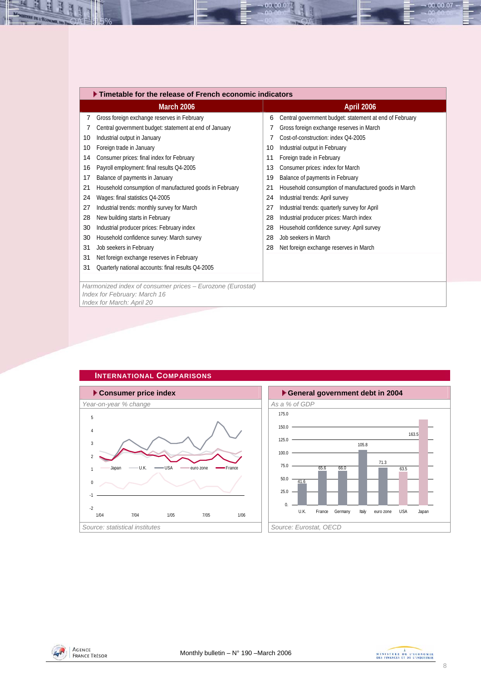<span id="page-7-0"></span>

|    | $\blacktriangleright$ Timetable for the release of French economic indicators |    |                                                         |  |  |  |  |  |  |  |
|----|-------------------------------------------------------------------------------|----|---------------------------------------------------------|--|--|--|--|--|--|--|
|    | <b>March 2006</b>                                                             |    | April 2006                                              |  |  |  |  |  |  |  |
| 7  | Gross foreign exchange reserves in February                                   | 6  | Central government budget: statement at end of February |  |  |  |  |  |  |  |
| 7  | Central government budget: statement at end of January                        |    | Gross foreign exchange reserves in March                |  |  |  |  |  |  |  |
| 10 | Industrial output in January                                                  | 7  | Cost-of-construction: index O4-2005                     |  |  |  |  |  |  |  |
| 10 | Foreign trade in January                                                      | 10 | Industrial output in February                           |  |  |  |  |  |  |  |
| 14 | Consumer prices: final index for February                                     | 11 | Foreign trade in February                               |  |  |  |  |  |  |  |
| 16 | Payroll employment: final results Q4-2005                                     | 13 | Consumer prices: index for March                        |  |  |  |  |  |  |  |
| 17 | Balance of payments in January                                                | 19 | Balance of payments in February                         |  |  |  |  |  |  |  |
| 21 | Household consumption of manufactured goods in February                       | 21 | Household consumption of manufactured goods in March    |  |  |  |  |  |  |  |
| 24 | Wages: final statistics Q4-2005                                               | 24 | Industrial trends: April survey                         |  |  |  |  |  |  |  |
| 27 | Industrial trends: monthly survey for March                                   | 27 | Industrial trends: quarterly survey for April           |  |  |  |  |  |  |  |
| 28 | New building starts in February                                               | 28 | Industrial producer prices: March index                 |  |  |  |  |  |  |  |
| 30 | Industrial producer prices: February index                                    | 28 | Household confidence survey: April survey               |  |  |  |  |  |  |  |
| 30 | Household confidence survey: March survey                                     | 28 | Job seekers in March                                    |  |  |  |  |  |  |  |
| 31 | Job seekers in February                                                       | 28 | Net foreign exchange reserves in March                  |  |  |  |  |  |  |  |
| 31 | Net foreign exchange reserves in February                                     |    |                                                         |  |  |  |  |  |  |  |
| 31 | Quarterly national accounts: final results Q4-2005                            |    |                                                         |  |  |  |  |  |  |  |
|    |                                                                               |    |                                                         |  |  |  |  |  |  |  |
|    | Harmonized index of consumer prices - Eurozone (Eurostat)                     |    |                                                         |  |  |  |  |  |  |  |
|    | Index for February: March 16                                                  |    |                                                         |  |  |  |  |  |  |  |
|    | Index for March: April 20                                                     |    |                                                         |  |  |  |  |  |  |  |

 $00.00.0$ 



### **INTERNATIONAL COMPARISONS**



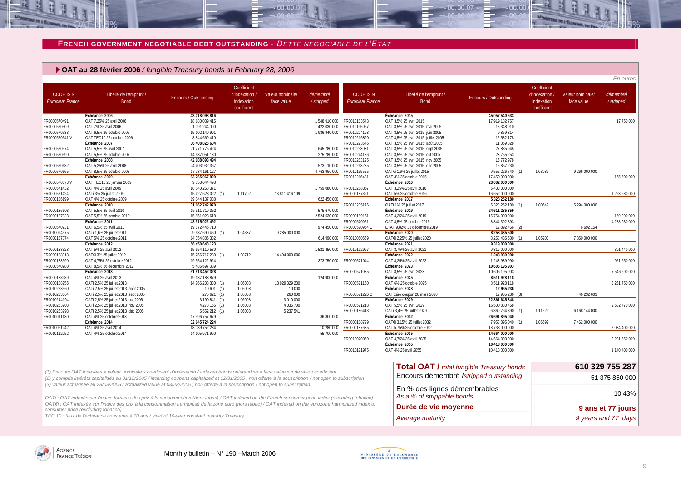### **FRENCH GOVERNMENT NEGOTIABLE DEBT OUTSTANDING -** *DETTE NEGOCIABLE DE L'ETAT*

 $-00.00.07$ 

#### **OAT au 28 février 2006** */ fungible Treasury bonds at February 28, 2006*

|                                             |                                                                                                                                                                                                                                                                                                      |                              |                                                            |                                |                       |                                             |                                                            |                                                  |                                                            |                                | En euros              |
|---------------------------------------------|------------------------------------------------------------------------------------------------------------------------------------------------------------------------------------------------------------------------------------------------------------------------------------------------------|------------------------------|------------------------------------------------------------|--------------------------------|-----------------------|---------------------------------------------|------------------------------------------------------------|--------------------------------------------------|------------------------------------------------------------|--------------------------------|-----------------------|
| <b>CODE ISIN</b><br><b>Euroclear France</b> | Libellé de l'emprunt /<br><b>Bond</b>                                                                                                                                                                                                                                                                | <b>Encours / Outstanding</b> | Coefficient<br>d'indexation /<br>indexation<br>coefficient | Valeur nominale/<br>face value | démembré<br>/stripped | <b>CODE ISIN</b><br><b>Euroclear France</b> | Libellé de l'emprunt /<br><b>Bond</b>                      | Encours / Outstanding                            | Coefficient<br>d'indexation /<br>indexation<br>coefficient | Valeur nominale/<br>face value | démembré<br>/stripped |
|                                             | Echéance 2006                                                                                                                                                                                                                                                                                        | 43 218 093 816               |                                                            |                                |                       |                                             | Echéance 2015                                              | 45 057 540 633                                   |                                                            |                                |                       |
| FR0000570491                                | OAT 7,25% 25 avril 2006                                                                                                                                                                                                                                                                              | 18 180 039 415               |                                                            |                                |                       | 1548 910 000 FR0010163543                   | OAT 3,5% 25 avril 2015                                     | 17 919 182 757                                   |                                                            |                                | 17 750 000            |
| FR0000570509                                | OAT 7% 25 avril 2006                                                                                                                                                                                                                                                                                 | 1 091 244 000                |                                                            |                                | 422 030 000           | FR0010195057                                | OAT 3,5% 25 avril 2015 mai 2005                            | 18 348 910                                       |                                                            |                                |                       |
| FR0000570533                                | OAT 6,5% 25 octobre 2006                                                                                                                                                                                                                                                                             | 15 102 140 991               |                                                            |                                | 1936940000            | FR0010204198                                | OAT 3,5% 25 avril 2015 juin 2005                           | 9 859 314                                        |                                                            |                                |                       |
| FR0000570541 V                              | OAT TEC10 25 octobre 2006                                                                                                                                                                                                                                                                            | 8844669410                   |                                                            |                                |                       | FR0010216820                                | OAT 3,5% 25 avril 2015 juillet 2005                        | 12 582 178                                       |                                                            |                                |                       |
|                                             | Échéance 2007                                                                                                                                                                                                                                                                                        | 36 408 826 604               |                                                            |                                |                       | FR0010223545                                | OAT 3,5% 25 avril 2015 août 2005                           | 11 069 328                                       |                                                            |                                |                       |
| FR0000570574                                | OAT 5,5% 25 avril 2007                                                                                                                                                                                                                                                                               | 21 771 775 424               |                                                            |                                | 645 780 000           | FR0010233031                                | OAT 3,5% 25 avril 2015 sept 2005                           | 27 885 945                                       |                                                            |                                |                       |
| FR0000570590                                | OAT 5,5% 25 octobre 2007                                                                                                                                                                                                                                                                             | 14 637 051 180               |                                                            |                                | 275 780 000           | FR0010244186                                | OAT 3,5% 25 avril 2015 oct 2005                            | 23 755 253                                       |                                                            |                                |                       |
|                                             | Échéance 2008                                                                                                                                                                                                                                                                                        | 42 188 093 494               |                                                            |                                |                       | FR0010253195                                | OAT 3,5% 25 avril 2015 nov 2005                            | 16 772 978                                       |                                                            |                                |                       |
| FR0000570632                                | OAT 5,25% 25 avril 2008                                                                                                                                                                                                                                                                              | 24 403 932 367               |                                                            |                                | 573 110 000           | FR0010263285                                | OAT 3,5% 25 avril 2015 déc 2005                            | 15 857 230                                       |                                                            |                                |                       |
| FR0000570665                                | OAT 8,5% 25 octobre 2008                                                                                                                                                                                                                                                                             | 17 784 161 127               |                                                            |                                | 4 763 950 000         | FR00101355251                               | OAT€i 1,6% 25 juillet 2015                                 | 9 552 226 740 (1)                                | 1,03089                                                    | 9 266 000 000                  |                       |
|                                             | Échéance 2009                                                                                                                                                                                                                                                                                        | 63 765 067 929               |                                                            |                                |                       | FR0010216481                                | OAT 3% 25 octobre 2015                                     | 17 450 000 000                                   |                                                            |                                | 165 600 000           |
| FR0000570673V                               | OAT TEC10 25 janvier 2009                                                                                                                                                                                                                                                                            | 9 853 044 498                |                                                            |                                |                       |                                             | Échéance 2016                                              | 23 082 000 000                                   |                                                            |                                |                       |
| FR0000571432                                | OAT 4% 25 avril 2009                                                                                                                                                                                                                                                                                 | 18 640 258 371               |                                                            |                                | 1 759 080 000         | FR0010288357                                | OAT 3,25% 25 avril 2016                                    | 6 430 000 000                                    |                                                            |                                |                       |
| FR00005714241                               | OATi 3% 25 juillet 2009                                                                                                                                                                                                                                                                              | 15 427 628 022 (1)           | 1,11702                                                    | 13 811 416 109                 |                       | FR0000187361                                | OAT 5% 25 octobre 2016                                     | 16 652 000 000                                   |                                                            |                                | 1 223 280 000         |
| FR0000186199                                | OAT 4% 25 octobre 2009                                                                                                                                                                                                                                                                               | 19 844 137 038               |                                                            |                                | 622 450 000           |                                             | Échéance 2017                                              | 5 328 252 180                                    |                                                            |                                |                       |
|                                             | Échéance 2010                                                                                                                                                                                                                                                                                        | 31 162 742 970               |                                                            |                                |                       | FR0010235176 I                              | OATi 1% 25 juillet 2017                                    | 5 328 252 180 (1)                                | 1.00647                                                    | 5 294 000 000                  |                       |
| FR0000186603                                | OAT 5,5% 25 avril 2010                                                                                                                                                                                                                                                                               | 15 311 719 352               |                                                            |                                | 575 670 000           |                                             | Échéance 2019                                              | 24 611 285 359                                   |                                                            |                                |                       |
| FR0000187023                                | OAT 5,5% 25 octobre 2010                                                                                                                                                                                                                                                                             | 15 851 023 618               |                                                            |                                | 2 524 630 000         | FR0000189151                                | OAT 4,25% 25 avril 2019                                    | 15 754 000 000                                   |                                                            |                                | 159 290 000           |
|                                             | Échéance 2011                                                                                                                                                                                                                                                                                        | 43 315 022 492               |                                                            |                                |                       | FR0000570921                                | OAT 8,5% 25 octobre 2019                                   | 8 844 392 893                                    |                                                            |                                | 4 288 930 000         |
| FR0000570731                                | OAT 6.5% 25 avril 2011                                                                                                                                                                                                                                                                               | 19 572 445 710               |                                                            |                                | 974 450 000           | FR0000570954 C                              | ETAT 9,82% 31 décembre 2019                                | 12 892 466 (2)                                   |                                                            | 6 6 9 2 1 5 4                  |                       |
| FR00100943751                               | OATi 1,6% 25 juillet 2011                                                                                                                                                                                                                                                                            | 9 687 690 450 (1)            | 1,04337                                                    | 9 285 000 000                  |                       |                                             | Échéance 2020                                              | 8 258 435 500                                    |                                                            |                                |                       |
| FR0000187874                                | OAT 5% 25 octobre 2011                                                                                                                                                                                                                                                                               | 14 054 886 332               |                                                            |                                | 614 990 000           | FR00100505591                               | OAT€i 2,25% 25 juillet 2020                                | 8 258 435 500 (1)                                | 1,05203                                                    | 7850000000                     |                       |
|                                             | Échéance 2012                                                                                                                                                                                                                                                                                        | 56 450 648 123               |                                                            |                                |                       |                                             | Échéance 2021                                              | 9 319 000 000                                    |                                                            |                                |                       |
| FR0000188328                                | OAT 5% 25 avril 2012                                                                                                                                                                                                                                                                                 | 15 654 110 580               |                                                            |                                | 1 521 450 000         | FR0010192997                                | OAT 3.75% 25 avril 2021                                    | 9 319 000 000                                    |                                                            |                                | 301 440 000           |
| FR00001880131                               | OAT€i 3% 25 juillet 2012                                                                                                                                                                                                                                                                             | 15 756 717 280 (1)           | 1,08712                                                    | 14 494 000 000                 |                       |                                             | Échéance 2022                                              | 1 243 939 990                                    |                                                            |                                |                       |
| FR0000188690                                | OAT 4,75% 25 octobre 2012                                                                                                                                                                                                                                                                            | 19 554 122 924               |                                                            |                                | 373 750 000           | FR0000571044                                | OAT 8,25% 25 avril 2022                                    | 1 243 939 990                                    |                                                            |                                | 921 650 000           |
| FR0000570780                                | OAT 8,5% 26 décembre 2012                                                                                                                                                                                                                                                                            | 5 485 697 339                |                                                            |                                |                       |                                             | Échéance 2023                                              | 10 606 195 903                                   |                                                            |                                |                       |
|                                             | Échéance 2013                                                                                                                                                                                                                                                                                        | 51 513 452 328               |                                                            |                                |                       | FR0000571085                                | OAT 8,5% 25 avril 2023                                     | 10 606 195 903                                   |                                                            |                                | 7546690000            |
| FR0000188989                                | OAT 4% 25 avril 2013                                                                                                                                                                                                                                                                                 | 19 137 183 879               |                                                            |                                | 124 900 000           |                                             | Échéance 2025                                              | 8 511 928 118                                    |                                                            |                                |                       |
| FR00001889551                               | OATi 2,5% 25 juillet 2013                                                                                                                                                                                                                                                                            | 14 766 203 330 (1)           | 1,06008                                                    | 13 929 329 230                 |                       | FR0000571150                                | OAT 6% 25 octobre 2025                                     | 8 511 928 118                                    |                                                            |                                | 3 251 750 000         |
| FR00102235601                               | OATi 2,5% 25 juillet 2013 août 2005                                                                                                                                                                                                                                                                  | 10601(1)                     | 1.06008                                                    | 10 000                         |                       |                                             | Échéance 2028                                              | 12 965 236                                       |                                                            |                                |                       |
| FR00102330641                               | OATi 2,5% 25 juillet 2013 sept 2005                                                                                                                                                                                                                                                                  | 275 621 (1)                  | 1.06008                                                    | 260 000                        |                       | FR0000571226 C                              | OAT zéro coupon 28 mars 2028                               | 12 965 236 (3)                                   |                                                            | 46 232 603                     |                       |
| FR0010244194 I                              | OATi 2,5% 25 juillet 2013 oct 2005                                                                                                                                                                                                                                                                   | 3 190 841 (1)                | 1,06008                                                    | 3 010 000                      |                       |                                             | Échéance 2029                                              | 22 361 645 348                                   |                                                            |                                |                       |
| FR00102532031                               | OATi 2,5% 25 juillet 2013 nov 2005                                                                                                                                                                                                                                                                   | 4 278 165 (1)                | 1,06008                                                    | 4 035 700                      |                       | FR0000571218                                | OAT 5,5% 25 avril 2029                                     | 15 500 880 458                                   |                                                            |                                | 2 632 470 000         |
| FR00102632931                               | OATi 2,5% 25 juillet 2013 déc 2005                                                                                                                                                                                                                                                                   | 5 552 212 (1)                | 1,06008                                                    | 5 2 3 7 5 4 1                  |                       | FR0000186413 I                              | OATi 3,4% 25 juillet 2029                                  | 6 860 764 890 (1)                                | 1,11229                                                    | 6 168 144 000                  |                       |
| FR0010011130                                | OAT 4% 25 octobre 2013                                                                                                                                                                                                                                                                               | 17 596 757 679               |                                                            |                                | 86 800 000            |                                             | Échéance 2032                                              | 26 691 895 040                                   |                                                            |                                |                       |
|                                             | Échéance 2014                                                                                                                                                                                                                                                                                        | 32 145 724 224               |                                                            |                                |                       | FR0000188799 I                              | OATEi 3,15% 25 juillet 2032                                | 7 953 895 040 (1)                                | 1,06592                                                    | 7 462 000 000                  |                       |
| FR0010061242                                | OAT 4% 25 avril 2014                                                                                                                                                                                                                                                                                 | 18 039 752 234               |                                                            |                                | 10 280 000            | FR0000187635                                | OAT 5,75% 25 octobre 2032                                  | 18 738 000 000                                   |                                                            |                                | 7 084 400 000         |
| FR0010112052                                | OAT 4% 25 octobre 2014                                                                                                                                                                                                                                                                               | 14 105 971 990               |                                                            |                                | 55 700 000            |                                             | Échéance 2035                                              | 14 664 000 000                                   |                                                            |                                |                       |
|                                             |                                                                                                                                                                                                                                                                                                      |                              |                                                            |                                |                       | FR0010070060                                | OAT 4,75% 25 avril 2035                                    | 14 664 000 000                                   |                                                            |                                | 3 231 550 000         |
|                                             |                                                                                                                                                                                                                                                                                                      |                              |                                                            |                                |                       |                                             | Échéance 2055                                              | 10 413 000 000                                   |                                                            |                                |                       |
|                                             |                                                                                                                                                                                                                                                                                                      |                              |                                                            |                                |                       | FR0010171975                                | OAT 4% 25 avril 2055                                       | 10 413 000 000                                   |                                                            |                                | 1 140 400 000         |
|                                             |                                                                                                                                                                                                                                                                                                      |                              |                                                            |                                |                       |                                             |                                                            | <b>Total OAT / total fungible Treasury bonds</b> |                                                            |                                | 610 329 755 287       |
|                                             | (1) Encours OAT indexées = valeur nominale x coefficient d'indexation / indexed bonds outstanding = face value x indexation coefficient<br>(2) y compris intérêts capitalisés au 31/12/2005 / including coupons capitalized at 12/31/2005 ; non offerte à la souscription / not open to subscription |                              |                                                            |                                |                       |                                             | Encours démembré /stripped outstanding                     |                                                  |                                                            |                                | 51 375 850 000        |
|                                             | (3) valeur actualisée au 28/03/2005 / actualized value at 03/28/2005 ; non offerte à la souscription / not open to subscription                                                                                                                                                                      |                              |                                                            |                                |                       |                                             |                                                            |                                                  |                                                            |                                |                       |
|                                             | OATi: OAT indexée sur l'indice français des prix à la consommation (hors tabac) / OAT indexed on the French consumer price index (excluding tobacco)                                                                                                                                                 |                              |                                                            |                                |                       |                                             | En % des lignes démembrables<br>As a % of strippable bonds |                                                  |                                                            |                                | 10,43%                |
|                                             | OAT€i : OAT indexée sur l'indice des prix à la consommation harmonisé de la zone euro (hors tabac) / OAT indexed on the eurozone harmonized index of<br>consumer price (excluding tobacco)                                                                                                           |                              |                                                            |                                |                       |                                             | Durée de vie moyenne                                       |                                                  |                                                            |                                | 9 ans et 77 jours     |
|                                             | TEC 10 : taux de l'échéance constante à 10 ans / yield of 10-year constant maturity Treasury                                                                                                                                                                                                         |                              |                                                            |                                |                       |                                             | Average maturity                                           |                                                  |                                                            |                                | 9 years and 77 days   |

<span id="page-8-0"></span>

**DE L'ECON**